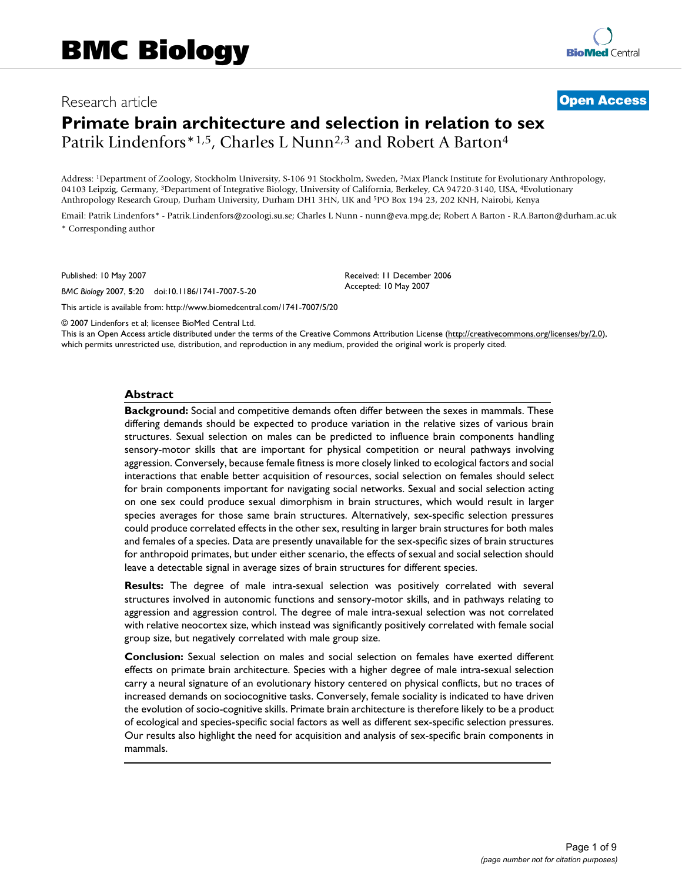# Research article **[Open Access](http://www.biomedcentral.com/info/about/charter/)**

# **Primate brain architecture and selection in relation to sex** Patrik Lindenfors\*1,5, Charles L Nunn<sup>2,3</sup> and Robert A Barton<sup>4</sup>

Address: 1Department of Zoology, Stockholm University, S-106 91 Stockholm, Sweden, 2Max Planck Institute for Evolutionary Anthropology, 04103 Leipzig, Germany, 3Department of Integrative Biology, University of California, Berkeley, CA 94720-3140, USA, 4Evolutionary Anthropology Research Group, Durham University, Durham DH1 3HN, UK and 5PO Box 194 23, 202 KNH, Nairobi, Kenya

Email: Patrik Lindenfors\* - Patrik.Lindenfors@zoologi.su.se; Charles L Nunn - nunn@eva.mpg.de; Robert A Barton - R.A.Barton@durham.ac.uk \* Corresponding author

Published: 10 May 2007

*BMC Biology* 2007, **5**:20 doi:10.1186/1741-7007-5-20

Received: 11 December 2006 Accepted: 10 May 2007

[This article is available from: http://www.biomedcentral.com/1741-7007/5/20](http://www.biomedcentral.com/1741-7007/5/20)

© 2007 Lindenfors et al; licensee BioMed Central Ltd.

This is an Open Access article distributed under the terms of the Creative Commons Attribution License [\(http://creativecommons.org/licenses/by/2.0\)](http://creativecommons.org/licenses/by/2.0), which permits unrestricted use, distribution, and reproduction in any medium, provided the original work is properly cited.

#### **Abstract**

**Background:** Social and competitive demands often differ between the sexes in mammals. These differing demands should be expected to produce variation in the relative sizes of various brain structures. Sexual selection on males can be predicted to influence brain components handling sensory-motor skills that are important for physical competition or neural pathways involving aggression. Conversely, because female fitness is more closely linked to ecological factors and social interactions that enable better acquisition of resources, social selection on females should select for brain components important for navigating social networks. Sexual and social selection acting on one sex could produce sexual dimorphism in brain structures, which would result in larger species averages for those same brain structures. Alternatively, sex-specific selection pressures could produce correlated effects in the other sex, resulting in larger brain structures for both males and females of a species. Data are presently unavailable for the sex-specific sizes of brain structures for anthropoid primates, but under either scenario, the effects of sexual and social selection should leave a detectable signal in average sizes of brain structures for different species.

**Results:** The degree of male intra-sexual selection was positively correlated with several structures involved in autonomic functions and sensory-motor skills, and in pathways relating to aggression and aggression control. The degree of male intra-sexual selection was not correlated with relative neocortex size, which instead was significantly positively correlated with female social group size, but negatively correlated with male group size.

**Conclusion:** Sexual selection on males and social selection on females have exerted different effects on primate brain architecture. Species with a higher degree of male intra-sexual selection carry a neural signature of an evolutionary history centered on physical conflicts, but no traces of increased demands on sociocognitive tasks. Conversely, female sociality is indicated to have driven the evolution of socio-cognitive skills. Primate brain architecture is therefore likely to be a product of ecological and species-specific social factors as well as different sex-specific selection pressures. Our results also highlight the need for acquisition and analysis of sex-specific brain components in mammals.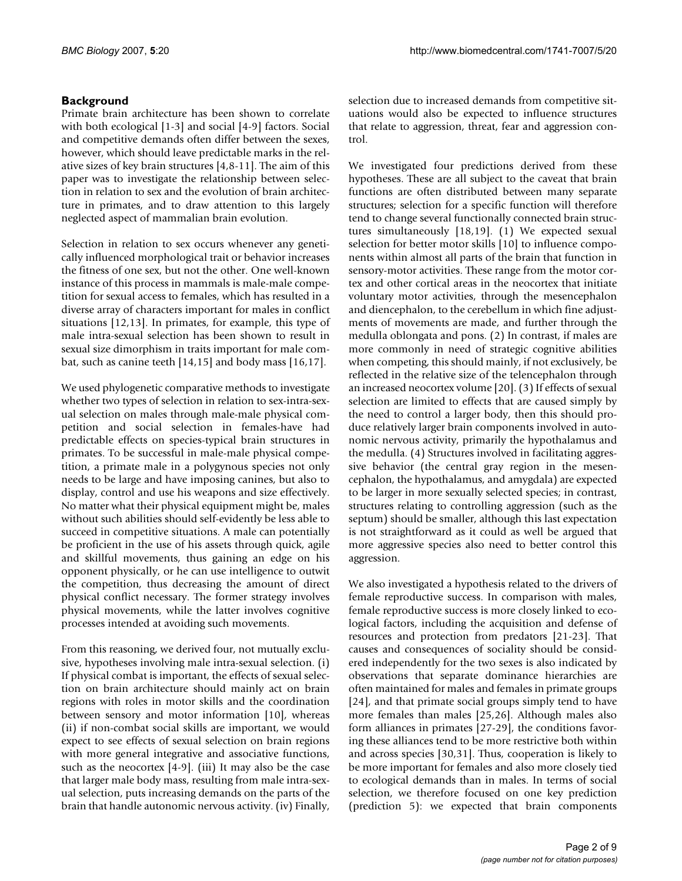# **Background**

Primate brain architecture has been shown to correlate with both ecological [1-3] and social [4-9] factors. Social and competitive demands often differ between the sexes, however, which should leave predictable marks in the relative sizes of key brain structures [4,8-11]. The aim of this paper was to investigate the relationship between selection in relation to sex and the evolution of brain architecture in primates, and to draw attention to this largely neglected aspect of mammalian brain evolution.

Selection in relation to sex occurs whenever any genetically influenced morphological trait or behavior increases the fitness of one sex, but not the other. One well-known instance of this process in mammals is male-male competition for sexual access to females, which has resulted in a diverse array of characters important for males in conflict situations [12,13]. In primates, for example, this type of male intra-sexual selection has been shown to result in sexual size dimorphism in traits important for male combat, such as canine teeth [14,15] and body mass [16,17].

We used phylogenetic comparative methods to investigate whether two types of selection in relation to sex-intra-sexual selection on males through male-male physical competition and social selection in females-have had predictable effects on species-typical brain structures in primates. To be successful in male-male physical competition, a primate male in a polygynous species not only needs to be large and have imposing canines, but also to display, control and use his weapons and size effectively. No matter what their physical equipment might be, males without such abilities should self-evidently be less able to succeed in competitive situations. A male can potentially be proficient in the use of his assets through quick, agile and skillful movements, thus gaining an edge on his opponent physically, or he can use intelligence to outwit the competition, thus decreasing the amount of direct physical conflict necessary. The former strategy involves physical movements, while the latter involves cognitive processes intended at avoiding such movements.

From this reasoning, we derived four, not mutually exclusive, hypotheses involving male intra-sexual selection. (i) If physical combat is important, the effects of sexual selection on brain architecture should mainly act on brain regions with roles in motor skills and the coordination between sensory and motor information [10], whereas (ii) if non-combat social skills are important, we would expect to see effects of sexual selection on brain regions with more general integrative and associative functions, such as the neocortex [4-9]. (iii) It may also be the case that larger male body mass, resulting from male intra-sexual selection, puts increasing demands on the parts of the brain that handle autonomic nervous activity. (iv) Finally,

selection due to increased demands from competitive situations would also be expected to influence structures that relate to aggression, threat, fear and aggression control.

We investigated four predictions derived from these hypotheses. These are all subject to the caveat that brain functions are often distributed between many separate structures; selection for a specific function will therefore tend to change several functionally connected brain structures simultaneously [18,19]. (1) We expected sexual selection for better motor skills [10] to influence components within almost all parts of the brain that function in sensory-motor activities. These range from the motor cortex and other cortical areas in the neocortex that initiate voluntary motor activities, through the mesencephalon and diencephalon, to the cerebellum in which fine adjustments of movements are made, and further through the medulla oblongata and pons. (2) In contrast, if males are more commonly in need of strategic cognitive abilities when competing, this should mainly, if not exclusively, be reflected in the relative size of the telencephalon through an increased neocortex volume [20]. (3) If effects of sexual selection are limited to effects that are caused simply by the need to control a larger body, then this should produce relatively larger brain components involved in autonomic nervous activity, primarily the hypothalamus and the medulla. (4) Structures involved in facilitating aggressive behavior (the central gray region in the mesencephalon, the hypothalamus, and amygdala) are expected to be larger in more sexually selected species; in contrast, structures relating to controlling aggression (such as the septum) should be smaller, although this last expectation is not straightforward as it could as well be argued that more aggressive species also need to better control this aggression.

We also investigated a hypothesis related to the drivers of female reproductive success. In comparison with males, female reproductive success is more closely linked to ecological factors, including the acquisition and defense of resources and protection from predators [21-23]. That causes and consequences of sociality should be considered independently for the two sexes is also indicated by observations that separate dominance hierarchies are often maintained for males and females in primate groups [24], and that primate social groups simply tend to have more females than males [25,26]. Although males also form alliances in primates [27-29], the conditions favoring these alliances tend to be more restrictive both within and across species [30,31]. Thus, cooperation is likely to be more important for females and also more closely tied to ecological demands than in males. In terms of social selection, we therefore focused on one key prediction (prediction 5): we expected that brain components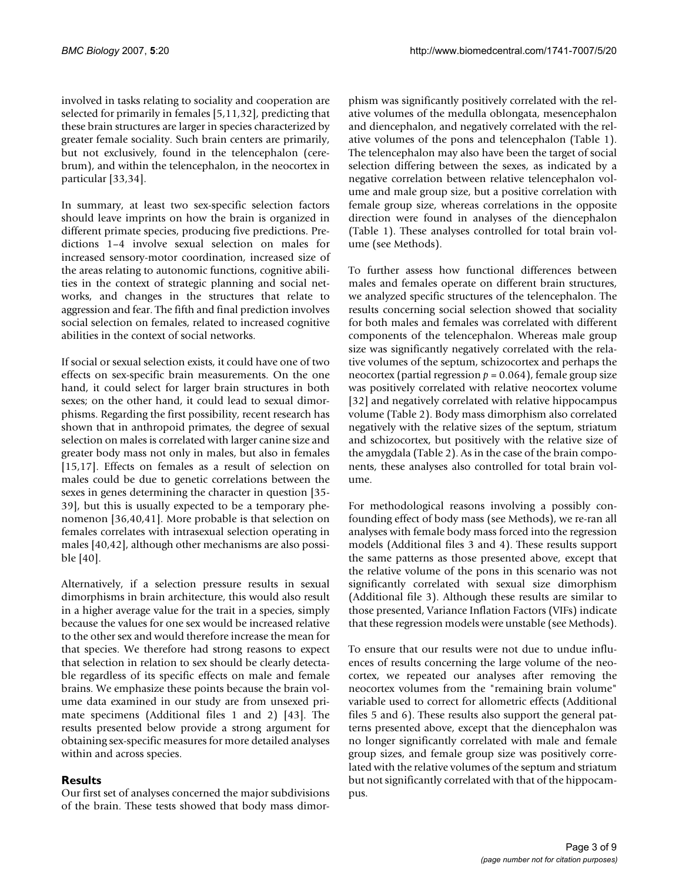involved in tasks relating to sociality and cooperation are selected for primarily in females [5,11,32], predicting that these brain structures are larger in species characterized by greater female sociality. Such brain centers are primarily, but not exclusively, found in the telencephalon (cerebrum), and within the telencephalon, in the neocortex in particular [33,34].

In summary, at least two sex-specific selection factors should leave imprints on how the brain is organized in different primate species, producing five predictions. Predictions 1–4 involve sexual selection on males for increased sensory-motor coordination, increased size of the areas relating to autonomic functions, cognitive abilities in the context of strategic planning and social networks, and changes in the structures that relate to aggression and fear. The fifth and final prediction involves social selection on females, related to increased cognitive abilities in the context of social networks.

If social or sexual selection exists, it could have one of two effects on sex-specific brain measurements. On the one hand, it could select for larger brain structures in both sexes; on the other hand, it could lead to sexual dimorphisms. Regarding the first possibility, recent research has shown that in anthropoid primates, the degree of sexual selection on males is correlated with larger canine size and greater body mass not only in males, but also in females [15,17]. Effects on females as a result of selection on males could be due to genetic correlations between the sexes in genes determining the character in question [35- 39], but this is usually expected to be a temporary phenomenon [36,40,41]. More probable is that selection on females correlates with intrasexual selection operating in males [40,42], although other mechanisms are also possible [40].

Alternatively, if a selection pressure results in sexual dimorphisms in brain architecture, this would also result in a higher average value for the trait in a species, simply because the values for one sex would be increased relative to the other sex and would therefore increase the mean for that species. We therefore had strong reasons to expect that selection in relation to sex should be clearly detectable regardless of its specific effects on male and female brains. We emphasize these points because the brain volume data examined in our study are from unsexed primate specimens (Additional files 1 and 2) [43]. The results presented below provide a strong argument for obtaining sex-specific measures for more detailed analyses within and across species.

# **Results**

Our first set of analyses concerned the major subdivisions of the brain. These tests showed that body mass dimorphism was significantly positively correlated with the relative volumes of the medulla oblongata, mesencephalon and diencephalon, and negatively correlated with the relative volumes of the pons and telencephalon (Table 1). The telencephalon may also have been the target of social selection differing between the sexes, as indicated by a negative correlation between relative telencephalon volume and male group size, but a positive correlation with female group size, whereas correlations in the opposite direction were found in analyses of the diencephalon (Table 1). These analyses controlled for total brain volume (see Methods).

To further assess how functional differences between males and females operate on different brain structures, we analyzed specific structures of the telencephalon. The results concerning social selection showed that sociality for both males and females was correlated with different components of the telencephalon. Whereas male group size was significantly negatively correlated with the relative volumes of the septum, schizocortex and perhaps the neocortex (partial regression  $p = 0.064$ ), female group size was positively correlated with relative neocortex volume [32] and negatively correlated with relative hippocampus volume (Table 2). Body mass dimorphism also correlated negatively with the relative sizes of the septum, striatum and schizocortex, but positively with the relative size of the amygdala (Table 2). As in the case of the brain components, these analyses also controlled for total brain volume.

For methodological reasons involving a possibly confounding effect of body mass (see Methods), we re-ran all analyses with female body mass forced into the regression models (Additional files 3 and 4). These results support the same patterns as those presented above, except that the relative volume of the pons in this scenario was not significantly correlated with sexual size dimorphism (Additional file 3). Although these results are similar to those presented, Variance Inflation Factors (VIFs) indicate that these regression models were unstable (see Methods).

To ensure that our results were not due to undue influences of results concerning the large volume of the neocortex, we repeated our analyses after removing the neocortex volumes from the "remaining brain volume" variable used to correct for allometric effects (Additional files 5 and 6). These results also support the general patterns presented above, except that the diencephalon was no longer significantly correlated with male and female group sizes, and female group size was positively correlated with the relative volumes of the septum and striatum but not significantly correlated with that of the hippocampus.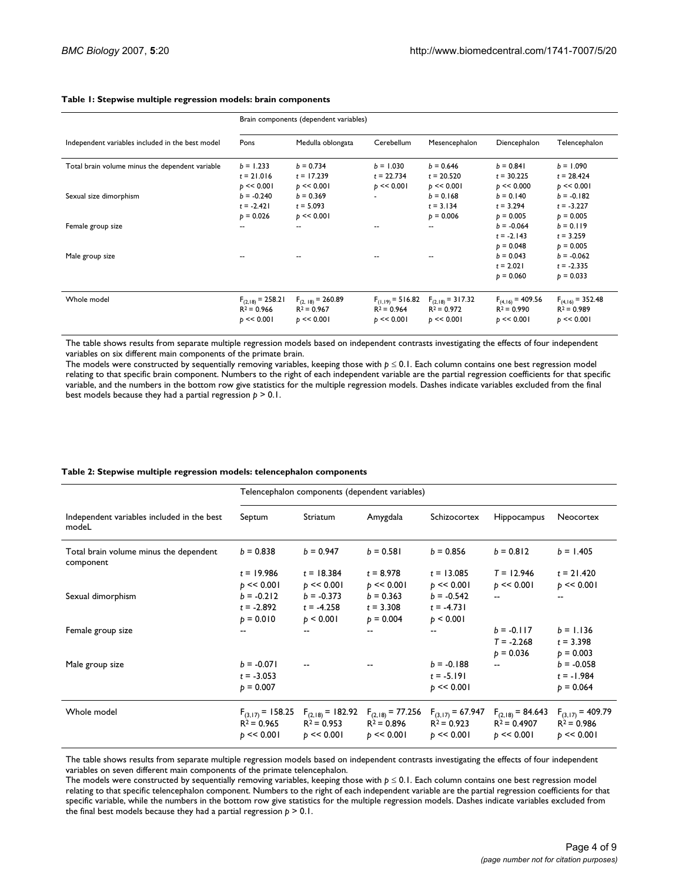|                                                                           | Brain components (dependent variables)                       |                                                             |                                                         |                                                             |                                                             |                                                              |  |  |
|---------------------------------------------------------------------------|--------------------------------------------------------------|-------------------------------------------------------------|---------------------------------------------------------|-------------------------------------------------------------|-------------------------------------------------------------|--------------------------------------------------------------|--|--|
| Independent variables included in the best model                          | Pons                                                         | Medulla oblongata                                           | Cerebellum                                              | Mesencephalon                                               | Diencephalon                                                | Telencephalon                                                |  |  |
| Total brain volume minus the dependent variable<br>Sexual size dimorphism | $b = 1.233$<br>$t = 21.016$<br>$p \ll 0.001$<br>$b = -0.240$ | $b = 0.734$<br>$t = 17.239$<br>$b \le 0.001$<br>$b = 0.369$ | $b = 1.030$<br>$t = 22.734$<br>$p \ll 0.001$            | $b = 0.646$<br>$t = 20.520$<br>$p \ll 0.001$<br>$b = 0.168$ | $b = 0.841$<br>$t = 30.225$<br>$p \ll 0.000$<br>$b = 0.140$ | $b = 1.090$<br>$t = 28.424$<br>$p \ll 0.001$<br>$b = -0.182$ |  |  |
| Female group size                                                         | $t = -2.421$<br>$p = 0.026$                                  | $t = 5.093$<br>$b \le 0.001$                                | --                                                      | $t = 3.134$<br>$p = 0.006$<br>$\sim$                        | $t = 3.294$<br>$p = 0.005$<br>$b = -0.064$                  | $t = -3.227$<br>$p = 0.005$<br>$b = 0.119$                   |  |  |
| Male group size                                                           | --                                                           |                                                             | --                                                      | --                                                          | $t = -2.143$<br>$p = 0.048$<br>$b = 0.043$<br>$t = 2.021$   | $t = 3.259$<br>$p = 0.005$<br>$b = -0.062$<br>$t = -2.335$   |  |  |
|                                                                           |                                                              |                                                             |                                                         |                                                             | $p = 0.060$                                                 | $p = 0.033$                                                  |  |  |
| Whole model                                                               | $F_{(2,18)} = 258.21$<br>$R^2 = 0.966$<br>$b \le 0.001$      | $F_{(2,18)} = 260.89$<br>$R^2 = 0.967$<br>$b \le 0.001$     | $F_{(1,19)} = 516.82$<br>$R^2 = 0.964$<br>$b \le 0.001$ | $F_{(2,18)} = 317.32$<br>$R^2 = 0.972$<br>$p \ll 0.001$     | $F_{(4,16)} = 409.56$<br>$R^2 = 0.990$<br>$p \ll 0.001$     | $F_{(4,16)} = 352.48$<br>$R^2 = 0.989$<br>$p \ll 0.001$      |  |  |

#### **Table 1: Stepwise multiple regression models: brain components**

The table shows results from separate multiple regression models based on independent contrasts investigating the effects of four independent variables on six different main components of the primate brain.

The models were constructed by sequentially removing variables, keeping those with *p* ≤ 0.1. Each column contains one best regression model relating to that specific brain component. Numbers to the right of each independent variable are the partial regression coefficients for that specific variable, and the numbers in the bottom row give statistics for the multiple regression models. Dashes indicate variables excluded from the final best models because they had a partial regression *p* > 0.1.

#### **Table 2: Stepwise multiple regression models: telencephalon components**

|                                                     | Telencephalon components (dependent variables)          |                                                         |                                                         |                                                         |                                                          |                                                         |  |  |
|-----------------------------------------------------|---------------------------------------------------------|---------------------------------------------------------|---------------------------------------------------------|---------------------------------------------------------|----------------------------------------------------------|---------------------------------------------------------|--|--|
| Independent variables included in the best<br>modeL | Septum                                                  | Striatum                                                | Amygdala                                                | Schizocortex                                            | Hippocampus                                              | Neocortex                                               |  |  |
| Total brain volume minus the dependent<br>component | $b = 0.838$                                             | $b = 0.947$                                             | $b = 0.581$                                             | $b = 0.856$                                             | $b = 0.812$                                              | $b = 1.405$                                             |  |  |
|                                                     | $t = 19.986$                                            | $t = 18.384$                                            | $t = 8.978$                                             | $t = 13.085$                                            | $T = 12.946$                                             | $t = 21.420$                                            |  |  |
|                                                     | $p \ll 0.001$                                           | $p \ll 0.001$                                           | $p \ll 0.001$                                           | $b \le 0.001$                                           | $b \le 0.001$                                            | $p \ll 0.001$                                           |  |  |
| Sexual dimorphism                                   | $b = -0.212$                                            | $b = -0.373$                                            | $b = 0.363$                                             | $b = -0.542$                                            |                                                          | $-$                                                     |  |  |
|                                                     | $t = -2.892$                                            | $t = -4.258$                                            | $t = 3.308$                                             | $t = -4.731$                                            |                                                          |                                                         |  |  |
|                                                     | $p = 0.010$                                             | p < 0.001                                               | $p = 0.004$                                             | p < 0.001                                               |                                                          |                                                         |  |  |
| Female group size                                   |                                                         |                                                         |                                                         |                                                         | $b = -0.117$<br>$T = -2.268$<br>$p = 0.036$              | $b = 1.136$<br>$t = 3.398$<br>$p = 0.003$               |  |  |
| Male group size                                     | $b = -0.071$                                            |                                                         |                                                         | $b = -0.188$                                            | --                                                       | $b = -0.058$                                            |  |  |
|                                                     | $t = -3.053$                                            |                                                         |                                                         | $t = -5.191$                                            |                                                          | $t = -1.984$                                            |  |  |
|                                                     | $p = 0.007$                                             |                                                         |                                                         | $b \le 0.001$                                           |                                                          | $p = 0.064$                                             |  |  |
| Whole model                                         | $F_{(3,17)} = 158.25$<br>$R^2 = 0.965$<br>$p \ll 0.001$ | $F_{(2,18)} = 182.92$<br>$R^2 = 0.953$<br>$b \le 0.001$ | $F_{(2,18)} = 77.256$<br>$R^2 = 0.896$<br>$b \le 0.001$ | $F_{(3,17)} = 67.947$<br>$R^2 = 0.923$<br>$b \le 0.001$ | $F_{(2,18)} = 84.643$<br>$R^2 = 0.4907$<br>$b \le 0.001$ | $F_{(3,17)} = 409.79$<br>$R^2 = 0.986$<br>$p \ll 0.001$ |  |  |

The table shows results from separate multiple regression models based on independent contrasts investigating the effects of four independent variables on seven different main components of the primate telencephalon.

The models were constructed by sequentially removing variables, keeping those with *p* ≤ 0.1. Each column contains one best regression model relating to that specific telencephalon component. Numbers to the right of each independent variable are the partial regression coefficients for that specific variable, while the numbers in the bottom row give statistics for the multiple regression models. Dashes indicate variables excluded from the final best models because they had a partial regression *p* > 0.1.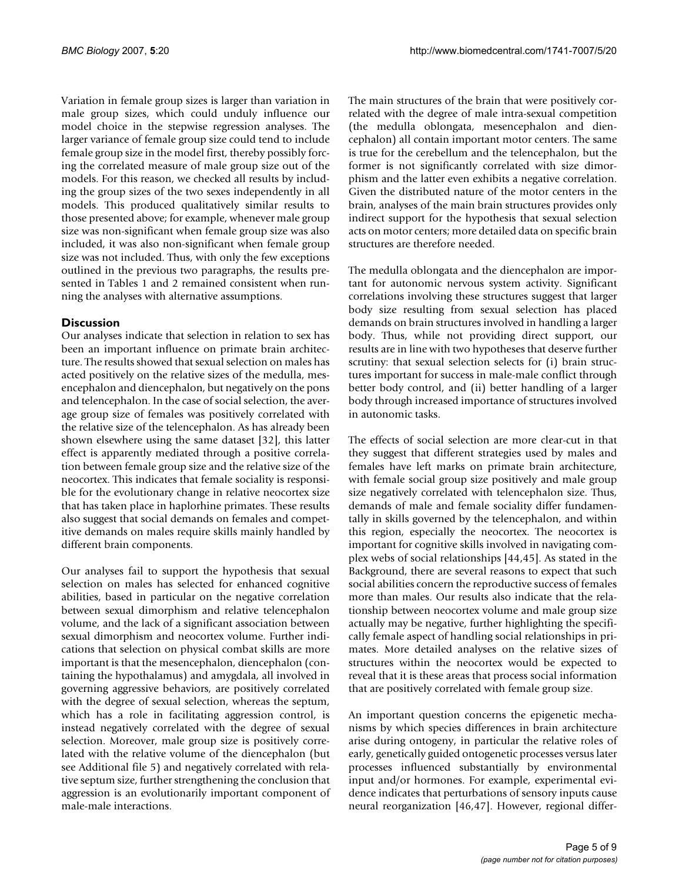Variation in female group sizes is larger than variation in male group sizes, which could unduly influence our model choice in the stepwise regression analyses. The larger variance of female group size could tend to include female group size in the model first, thereby possibly forcing the correlated measure of male group size out of the models. For this reason, we checked all results by including the group sizes of the two sexes independently in all models. This produced qualitatively similar results to those presented above; for example, whenever male group size was non-significant when female group size was also included, it was also non-significant when female group size was not included. Thus, with only the few exceptions outlined in the previous two paragraphs, the results presented in Tables 1 and 2 remained consistent when running the analyses with alternative assumptions.

# **Discussion**

Our analyses indicate that selection in relation to sex has been an important influence on primate brain architecture. The results showed that sexual selection on males has acted positively on the relative sizes of the medulla, mesencephalon and diencephalon, but negatively on the pons and telencephalon. In the case of social selection, the average group size of females was positively correlated with the relative size of the telencephalon. As has already been shown elsewhere using the same dataset [32], this latter effect is apparently mediated through a positive correlation between female group size and the relative size of the neocortex. This indicates that female sociality is responsible for the evolutionary change in relative neocortex size that has taken place in haplorhine primates. These results also suggest that social demands on females and competitive demands on males require skills mainly handled by different brain components.

Our analyses fail to support the hypothesis that sexual selection on males has selected for enhanced cognitive abilities, based in particular on the negative correlation between sexual dimorphism and relative telencephalon volume, and the lack of a significant association between sexual dimorphism and neocortex volume. Further indications that selection on physical combat skills are more important is that the mesencephalon, diencephalon (containing the hypothalamus) and amygdala, all involved in governing aggressive behaviors, are positively correlated with the degree of sexual selection, whereas the septum, which has a role in facilitating aggression control, is instead negatively correlated with the degree of sexual selection. Moreover, male group size is positively correlated with the relative volume of the diencephalon (but see Additional file 5) and negatively correlated with relative septum size, further strengthening the conclusion that aggression is an evolutionarily important component of male-male interactions.

The main structures of the brain that were positively correlated with the degree of male intra-sexual competition (the medulla oblongata, mesencephalon and diencephalon) all contain important motor centers. The same is true for the cerebellum and the telencephalon, but the former is not significantly correlated with size dimorphism and the latter even exhibits a negative correlation. Given the distributed nature of the motor centers in the brain, analyses of the main brain structures provides only indirect support for the hypothesis that sexual selection acts on motor centers; more detailed data on specific brain structures are therefore needed.

The medulla oblongata and the diencephalon are important for autonomic nervous system activity. Significant correlations involving these structures suggest that larger body size resulting from sexual selection has placed demands on brain structures involved in handling a larger body. Thus, while not providing direct support, our results are in line with two hypotheses that deserve further scrutiny: that sexual selection selects for (i) brain structures important for success in male-male conflict through better body control, and (ii) better handling of a larger body through increased importance of structures involved in autonomic tasks.

The effects of social selection are more clear-cut in that they suggest that different strategies used by males and females have left marks on primate brain architecture, with female social group size positively and male group size negatively correlated with telencephalon size. Thus, demands of male and female sociality differ fundamentally in skills governed by the telencephalon, and within this region, especially the neocortex. The neocortex is important for cognitive skills involved in navigating complex webs of social relationships [44,45]. As stated in the Background, there are several reasons to expect that such social abilities concern the reproductive success of females more than males. Our results also indicate that the relationship between neocortex volume and male group size actually may be negative, further highlighting the specifically female aspect of handling social relationships in primates. More detailed analyses on the relative sizes of structures within the neocortex would be expected to reveal that it is these areas that process social information that are positively correlated with female group size.

An important question concerns the epigenetic mechanisms by which species differences in brain architecture arise during ontogeny, in particular the relative roles of early, genetically guided ontogenetic processes versus later processes influenced substantially by environmental input and/or hormones. For example, experimental evidence indicates that perturbations of sensory inputs cause neural reorganization [46,47]. However, regional differ-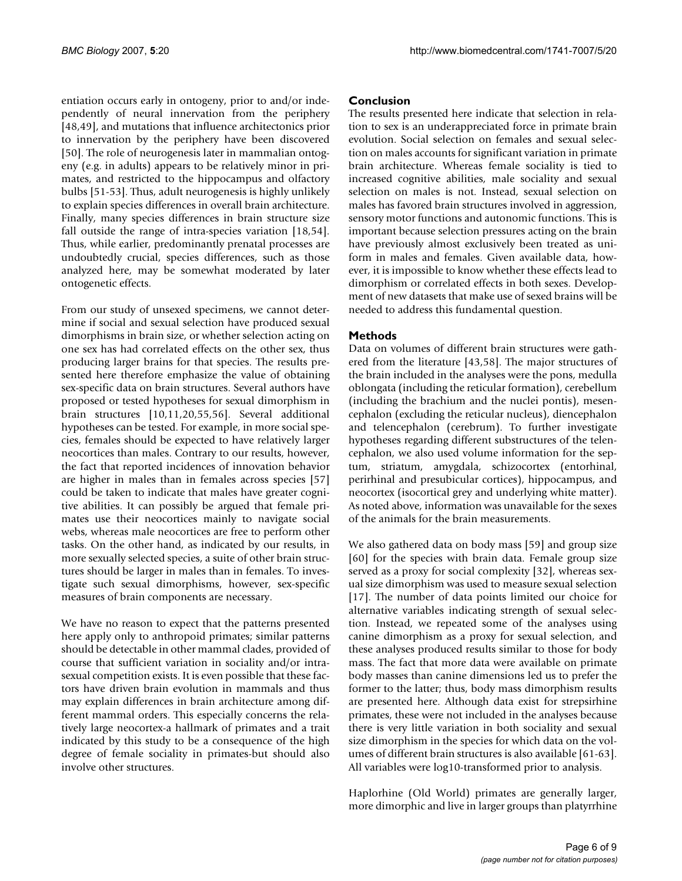entiation occurs early in ontogeny, prior to and/or independently of neural innervation from the periphery [48,49], and mutations that influence architectonics prior to innervation by the periphery have been discovered [50]. The role of neurogenesis later in mammalian ontogeny (e.g. in adults) appears to be relatively minor in primates, and restricted to the hippocampus and olfactory bulbs [51-53]. Thus, adult neurogenesis is highly unlikely to explain species differences in overall brain architecture. Finally, many species differences in brain structure size fall outside the range of intra-species variation [18,54]. Thus, while earlier, predominantly prenatal processes are undoubtedly crucial, species differences, such as those analyzed here, may be somewhat moderated by later ontogenetic effects.

From our study of unsexed specimens, we cannot determine if social and sexual selection have produced sexual dimorphisms in brain size, or whether selection acting on one sex has had correlated effects on the other sex, thus producing larger brains for that species. The results presented here therefore emphasize the value of obtaining sex-specific data on brain structures. Several authors have proposed or tested hypotheses for sexual dimorphism in brain structures [10,11,20,55,56]. Several additional hypotheses can be tested. For example, in more social species, females should be expected to have relatively larger neocortices than males. Contrary to our results, however, the fact that reported incidences of innovation behavior are higher in males than in females across species [57] could be taken to indicate that males have greater cognitive abilities. It can possibly be argued that female primates use their neocortices mainly to navigate social webs, whereas male neocortices are free to perform other tasks. On the other hand, as indicated by our results, in more sexually selected species, a suite of other brain structures should be larger in males than in females. To investigate such sexual dimorphisms, however, sex-specific measures of brain components are necessary.

We have no reason to expect that the patterns presented here apply only to anthropoid primates; similar patterns should be detectable in other mammal clades, provided of course that sufficient variation in sociality and/or intrasexual competition exists. It is even possible that these factors have driven brain evolution in mammals and thus may explain differences in brain architecture among different mammal orders. This especially concerns the relatively large neocortex-a hallmark of primates and a trait indicated by this study to be a consequence of the high degree of female sociality in primates-but should also involve other structures.

#### **Conclusion**

The results presented here indicate that selection in relation to sex is an underappreciated force in primate brain evolution. Social selection on females and sexual selection on males accounts for significant variation in primate brain architecture. Whereas female sociality is tied to increased cognitive abilities, male sociality and sexual selection on males is not. Instead, sexual selection on males has favored brain structures involved in aggression, sensory motor functions and autonomic functions. This is important because selection pressures acting on the brain have previously almost exclusively been treated as uniform in males and females. Given available data, however, it is impossible to know whether these effects lead to dimorphism or correlated effects in both sexes. Development of new datasets that make use of sexed brains will be needed to address this fundamental question.

#### **Methods**

Data on volumes of different brain structures were gathered from the literature [43,58]. The major structures of the brain included in the analyses were the pons, medulla oblongata (including the reticular formation), cerebellum (including the brachium and the nuclei pontis), mesencephalon (excluding the reticular nucleus), diencephalon and telencephalon (cerebrum). To further investigate hypotheses regarding different substructures of the telencephalon, we also used volume information for the septum, striatum, amygdala, schizocortex (entorhinal, perirhinal and presubicular cortices), hippocampus, and neocortex (isocortical grey and underlying white matter). As noted above, information was unavailable for the sexes of the animals for the brain measurements.

We also gathered data on body mass [59] and group size [60] for the species with brain data. Female group size served as a proxy for social complexity [32], whereas sexual size dimorphism was used to measure sexual selection [17]. The number of data points limited our choice for alternative variables indicating strength of sexual selection. Instead, we repeated some of the analyses using canine dimorphism as a proxy for sexual selection, and these analyses produced results similar to those for body mass. The fact that more data were available on primate body masses than canine dimensions led us to prefer the former to the latter; thus, body mass dimorphism results are presented here. Although data exist for strepsirhine primates, these were not included in the analyses because there is very little variation in both sociality and sexual size dimorphism in the species for which data on the volumes of different brain structures is also available [61-63]. All variables were log10-transformed prior to analysis.

Haplorhine (Old World) primates are generally larger, more dimorphic and live in larger groups than platyrrhine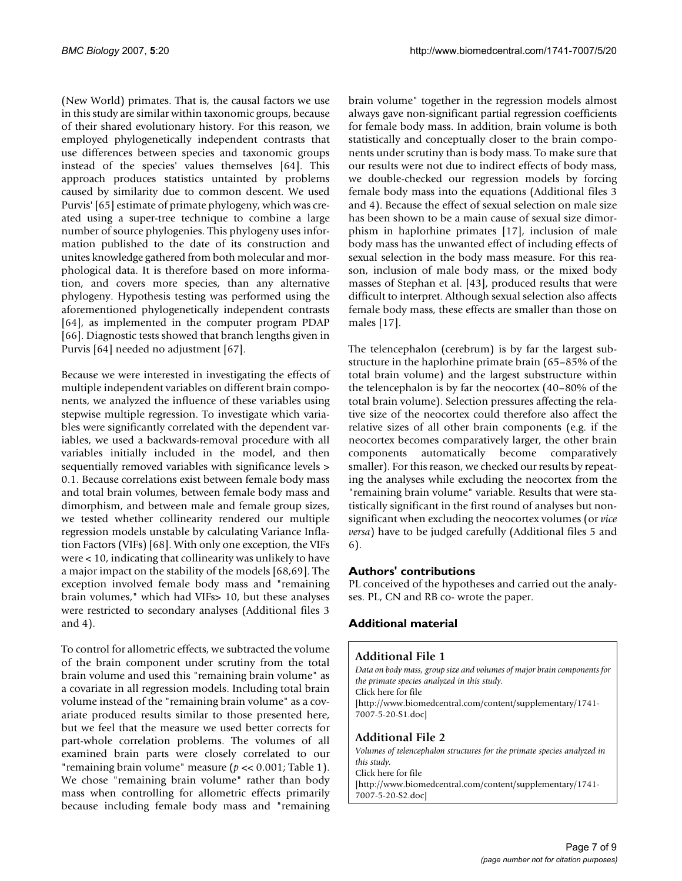(New World) primates. That is, the causal factors we use in this study are similar within taxonomic groups, because of their shared evolutionary history. For this reason, we employed phylogenetically independent contrasts that use differences between species and taxonomic groups instead of the species' values themselves [64]. This approach produces statistics untainted by problems caused by similarity due to common descent. We used Purvis' [65] estimate of primate phylogeny, which was created using a super-tree technique to combine a large number of source phylogenies. This phylogeny uses information published to the date of its construction and unites knowledge gathered from both molecular and morphological data. It is therefore based on more information, and covers more species, than any alternative phylogeny. Hypothesis testing was performed using the aforementioned phylogenetically independent contrasts [64], as implemented in the computer program PDAP [66]. Diagnostic tests showed that branch lengths given in Purvis [64] needed no adjustment [67].

Because we were interested in investigating the effects of multiple independent variables on different brain components, we analyzed the influence of these variables using stepwise multiple regression. To investigate which variables were significantly correlated with the dependent variables, we used a backwards-removal procedure with all variables initially included in the model, and then sequentially removed variables with significance levels > 0.1. Because correlations exist between female body mass and total brain volumes, between female body mass and dimorphism, and between male and female group sizes, we tested whether collinearity rendered our multiple regression models unstable by calculating Variance Inflation Factors (VIFs) [68]. With only one exception, the VIFs were < 10, indicating that collinearity was unlikely to have a major impact on the stability of the models [68,69]. The exception involved female body mass and "remaining brain volumes," which had VIFs> 10, but these analyses were restricted to secondary analyses (Additional files 3 and 4).

To control for allometric effects, we subtracted the volume of the brain component under scrutiny from the total brain volume and used this "remaining brain volume" as a covariate in all regression models. Including total brain volume instead of the "remaining brain volume" as a covariate produced results similar to those presented here, but we feel that the measure we used better corrects for part-whole correlation problems. The volumes of all examined brain parts were closely correlated to our "remaining brain volume" measure (*p* << 0.001; Table 1). We chose "remaining brain volume" rather than body mass when controlling for allometric effects primarily because including female body mass and "remaining brain volume" together in the regression models almost always gave non-significant partial regression coefficients for female body mass. In addition, brain volume is both statistically and conceptually closer to the brain components under scrutiny than is body mass. To make sure that our results were not due to indirect effects of body mass, we double-checked our regression models by forcing female body mass into the equations (Additional files 3 and 4). Because the effect of sexual selection on male size has been shown to be a main cause of sexual size dimorphism in haplorhine primates [17], inclusion of male body mass has the unwanted effect of including effects of sexual selection in the body mass measure. For this reason, inclusion of male body mass, or the mixed body masses of Stephan et al. [43], produced results that were difficult to interpret. Although sexual selection also affects female body mass, these effects are smaller than those on males [17].

The telencephalon (cerebrum) is by far the largest substructure in the haplorhine primate brain (65–85% of the total brain volume) and the largest substructure within the telencephalon is by far the neocortex (40–80% of the total brain volume). Selection pressures affecting the relative size of the neocortex could therefore also affect the relative sizes of all other brain components (e.g. if the neocortex becomes comparatively larger, the other brain components automatically become comparatively smaller). For this reason, we checked our results by repeating the analyses while excluding the neocortex from the "remaining brain volume" variable. Results that were statistically significant in the first round of analyses but nonsignificant when excluding the neocortex volumes (or *vice versa*) have to be judged carefully (Additional files 5 and 6).

# **Authors' contributions**

PL conceived of the hypotheses and carried out the analyses. PL, CN and RB co- wrote the paper.

# **Additional material**

#### **Additional File 1**

*Data on body mass, group size and volumes of major brain components for the primate species analyzed in this study.* Click here for file [\[http://www.biomedcentral.com/content/supplementary/1741-](http://www.biomedcentral.com/content/supplementary/1741-7007-5-20-S1.doc) 7007-5-20-S1.doc]

# **Additional File 2**

*Volumes of telencephalon structures for the primate species analyzed in this study.* Click here for file [\[http://www.biomedcentral.com/content/supplementary/1741-](http://www.biomedcentral.com/content/supplementary/1741-7007-5-20-S2.doc) 7007-5-20-S2.doc]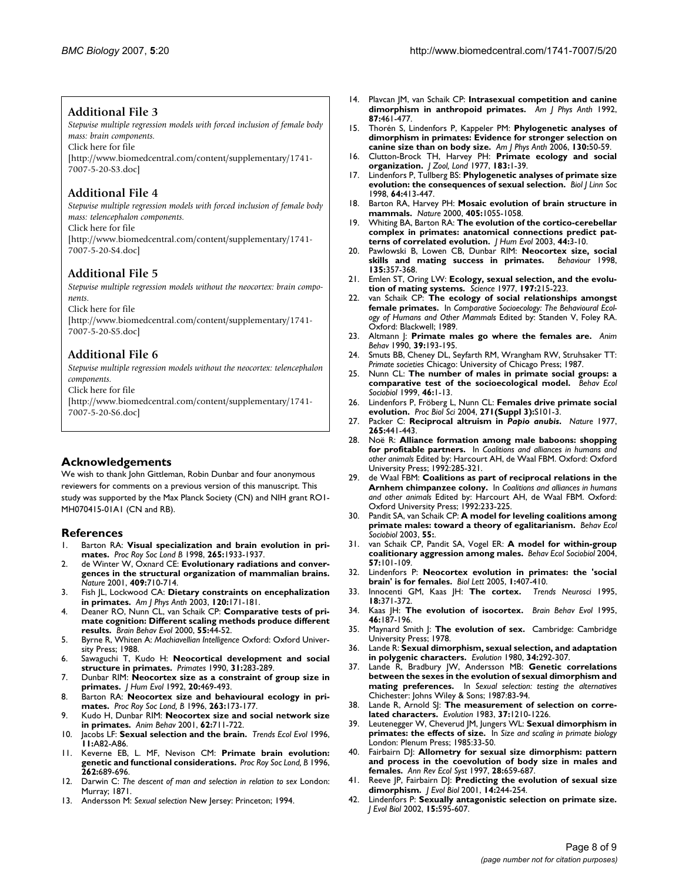#### **Additional File 3**

*Stepwise multiple regression models with forced inclusion of female body mass: brain components.* Click here for file [\[http://www.biomedcentral.com/content/supplementary/1741-](http://www.biomedcentral.com/content/supplementary/1741-7007-5-20-S3.doc)

7007-5-20-S3.doc]

# **Additional File 4**

*Stepwise multiple regression models with forced inclusion of female body mass: telencephalon components.*

Click here for file

[\[http://www.biomedcentral.com/content/supplementary/1741-](http://www.biomedcentral.com/content/supplementary/1741-7007-5-20-S4.doc) 7007-5-20-S4.doc]

#### **Additional File 5**

*Stepwise multiple regression models without the neocortex: brain components.*

Click here for file

[\[http://www.biomedcentral.com/content/supplementary/1741-](http://www.biomedcentral.com/content/supplementary/1741-7007-5-20-S5.doc) 7007-5-20-S5.doc]

# **Additional File 6**

*Stepwise multiple regression models without the neocortex: telencephalon components.*

Click here for file

[\[http://www.biomedcentral.com/content/supplementary/1741-](http://www.biomedcentral.com/content/supplementary/1741-7007-5-20-S6.doc) 7007-5-20-S6.doc]

#### **Acknowledgements**

We wish to thank John Gittleman, Robin Dunbar and four anonymous reviewers for comments on a previous version of this manuscript. This study was supported by the Max Planck Society (CN) and NIH grant RO1- MH070415-01A1 (CN and RB).

#### **References**

- 1. Barton RA: **Visual specialization and brain evolution in primates.** *Proc Roy Soc Lond B* 1998, **265:**1933-1937.
- 2. de Winter W, Oxnard CE: **[Evolutionary radiations and conver](http://www.ncbi.nlm.nih.gov/entrez/query.fcgi?cmd=Retrieve&db=PubMed&dopt=Abstract&list_uids=11217859)[gences in the structural organization of mammalian brains.](http://www.ncbi.nlm.nih.gov/entrez/query.fcgi?cmd=Retrieve&db=PubMed&dopt=Abstract&list_uids=11217859)** *Nature* 2001, **409:**710-714.
- 3. Fish JL, Lockwood CA: **Dietary constraints on encephalization in primates.** *Am J Phys Anth* 2003, **120:**171-181.
- 4. Deaner RO, Nunn CL, van Schaik CP: **[Comparative tests of pri](http://www.ncbi.nlm.nih.gov/entrez/query.fcgi?cmd=Retrieve&db=PubMed&dopt=Abstract&list_uids=10773625)[mate cognition: Different scaling methods produce different](http://www.ncbi.nlm.nih.gov/entrez/query.fcgi?cmd=Retrieve&db=PubMed&dopt=Abstract&list_uids=10773625) [results.](http://www.ncbi.nlm.nih.gov/entrez/query.fcgi?cmd=Retrieve&db=PubMed&dopt=Abstract&list_uids=10773625)** *Brain Behav Evol* 2000, **55:**44-52.
- 5. Byrne R, Whiten A: *Machiavellian Intelligence* Oxford: Oxford University Press; 1988.
- 6. Sawaguchi T, Kudo H: **Neocortical development and social structure in primates.** *Primates* 1990, **31:**283-289.
- 7. Dunbar RIM: **Neocortex size as a constraint of group size in primates.** *J Hum Evol* 1992, **20:**469-493.
- 8. Barton RA: **Neocortex size and behavioural ecology in primates.** *Proc Roy Soc Lond, B* 1996, **263:**173-177.
- 9. Kudo H, Dunbar RIM: **Neocortex size and social network size in primates.** *Anim Behav* 2001, **62:**711-722.
- 10. Jacobs LF: **Sexual selection and the brain.** *Trends Ecol Evol* 1996, **11:**A82-A86.
- 11. Keverne EB, L. MF, Nevison CM: **Primate brain evolution: genetic and functional considerations.** *Proc Roy Soc Lond, B* 1996, **262:**689-696.
- 12. Darwin C: *The descent of man and selection in relation to sex* London: Murray; 1871.
- 13. Andersson M: *Sexual selection* New Jersey: Princeton; 1994.
- 14. Plavcan JM, van Schaik CP: **Intrasexual competition and canine dimorphism in anthropoid primates.** *Am J Phys Anth* 1992, **87:**461-477.
- 15. Thorén S, Lindenfors P, Kappeler PM: **Phylogenetic analyses of dimorphism in primates: Evidence for stronger selection on canine size than on body size.** *Am J Phys Anth* 2006, **130:**50-59.
- 16. Clutton-Brock TH, Harvey PH: **Primate ecology and social organization.** *J Zool, Lond* 1977, **183:**1-39.
- 17. Lindenfors P, Tullberg BS: **Phylogenetic analyses of primate size evolution: the consequences of sexual selection.** *Biol J Linn Soc* 1998, **64:**413-447.
- 18. Barton RA, Harvey PH: **[Mosaic evolution of brain structure in](http://www.ncbi.nlm.nih.gov/entrez/query.fcgi?cmd=Retrieve&db=PubMed&dopt=Abstract&list_uids=10890446) [mammals.](http://www.ncbi.nlm.nih.gov/entrez/query.fcgi?cmd=Retrieve&db=PubMed&dopt=Abstract&list_uids=10890446)** *Nature* 2000, **405:**1055-1058.
- 19. Whiting BA, Barton RA: **[The evolution of the cortico-cerebellar](http://www.ncbi.nlm.nih.gov/entrez/query.fcgi?cmd=Retrieve&db=PubMed&dopt=Abstract&list_uids=12604300) [complex in primates: anatomical connections predict pat](http://www.ncbi.nlm.nih.gov/entrez/query.fcgi?cmd=Retrieve&db=PubMed&dopt=Abstract&list_uids=12604300)[terns of correlated evolution.](http://www.ncbi.nlm.nih.gov/entrez/query.fcgi?cmd=Retrieve&db=PubMed&dopt=Abstract&list_uids=12604300)** *J Hum Evol* 2003, **44:**3-10.
- 20. Pawlowski B, Lowen CB, Dunbar RIM: **Neocortex size, social skills and mating success in primates.** *Behaviour* 1998, **135:**357-368.
- 21. Emlen ST, Oring LW: **[Ecology, sexual selection, and the evolu](http://www.ncbi.nlm.nih.gov/entrez/query.fcgi?cmd=Retrieve&db=PubMed&dopt=Abstract&list_uids=327542)[tion of mating systems.](http://www.ncbi.nlm.nih.gov/entrez/query.fcgi?cmd=Retrieve&db=PubMed&dopt=Abstract&list_uids=327542)** *Science* 1977, **197:**215-223.
- 22. van Schaik CP: **The ecology of social relationships amongst female primates.** In *Comparative Socioecology: The Behavioural Ecology of Humans and Other Mammals* Edited by: Standen V, Foley RA. Oxford: Blackwell; 1989.
- 23. Altmann J: **Primate males go where the females are.** *Anim Behav* 1990, **39:**193-195.
- 24. Smuts BB, Cheney DL, Seyfarth RM, Wrangham RW, Struhsaker TT: *Primate societies* Chicago: University of Chicago Press; 1987.
- 25. Nunn CL: **The number of males in primate social groups: a comparative test of the socioecological model.** *Behav Ecol Sociobiol* 1999, **46:**1-13.
- 26. Lindenfors P, Fröberg L, Nunn CL: **[Females drive primate social](http://www.ncbi.nlm.nih.gov/entrez/query.fcgi?cmd=Retrieve&db=PubMed&dopt=Abstract&list_uids=15101432) [evolution.](http://www.ncbi.nlm.nih.gov/entrez/query.fcgi?cmd=Retrieve&db=PubMed&dopt=Abstract&list_uids=15101432)** *Proc Biol Sci* 2004, **271(Suppl 3):**S101-3.
- 27. Packer C: **Reciprocal altruism in** *Papio anubis***.** *Nature* 1977, **265:**441-443.
- 28. Noë R: **Alliance formation among male baboons: shopping for profitable partners.** In *Coalitions and alliances in humans and other animals* Edited by: Harcourt AH, de Waal FBM. Oxford: Oxford University Press; 1992:285-321.
- 29. de Waal FBM: **Coalitions as part of reciprocal relations in the Arnhem chimpanzee colony.** In *Coalitions and alliances in humans and other animals* Edited by: Harcourt AH, de Waal FBM. Oxford: Oxford University Press; 1992:233-225.
- 30. Pandit SA, van Schaik CP: **A model for leveling coalitions among primate males: toward a theory of egalitarianism.** *Behav Ecol Sociobiol* 2003, **55:**.
- 31. van Schaik CP, Pandit SA, Vogel ER: **A model for within-group coalitionary aggression among males.** *Behav Ecol Sociobiol* 2004, **57:**101-109.
- 32. Lindenfors P: **[Neocortex evolution in primates: the 'social](http://www.ncbi.nlm.nih.gov/entrez/query.fcgi?cmd=Retrieve&db=PubMed&dopt=Abstract&list_uids=17148219)**
- **[brain' is for females.](http://www.ncbi.nlm.nih.gov/entrez/query.fcgi?cmd=Retrieve&db=PubMed&dopt=Abstract&list_uids=17148219)** *Biol Lett* 2005, **1:**407-410. 33. Innocenti GM, Kaas JH: The cortex. **18:**371-372.
- 34. Kaas JH: **[The evolution of isocortex.](http://www.ncbi.nlm.nih.gov/entrez/query.fcgi?cmd=Retrieve&db=PubMed&dopt=Abstract&list_uids=8564462)** *Brain Behav Evol* 1995, **46:**187-196.
- 35. Maynard Smith J: **The evolution of sex.** Cambridge: Cambridge University Press; 1978.
- 36. Lande R: **Sexual dimorphism, sexual selection, and adaptation in polygenic characters.** *Evolution* 1980, **34:**292-307.
- 37. Lande R, Bradbury JW, Andersson MB: **Genetic correlations between the sexes in the evolution of sexual dimorphism and mating preferences.** In *Sexual selection: testing the alternatives* Chichester: Johns Wiley & Sons; 1987:83-94.
- 38. Lande R, Arnold SJ: **The measurement of selection on correlated characters.** *Evolution* 1983, **37:**1210-1226.
- 39. Leutenegger W, Cheverud JM, Jungers WL: **Sexual dimorphism in primates: the effects of size.** In *Size and scaling in primate biology* London: Plenum Press; 1985:33-50.
- 40. Fairbairn DJ: **Allometry for sexual size dimorphism: pattern and process in the coevolution of body size in males and females.** *Ann Rev Ecol Syst* 1997, **28:**659-687.
- 41. Reeve JP, Fairbairn DJ: **Predicting the evolution of sexual size dimorphism.** *J Evol Biol* 2001, **14:**244-254.
- 42. Lindenfors P: **Sexually antagonistic selection on primate size.** *J Evol Biol* 2002, **15:**595-607.